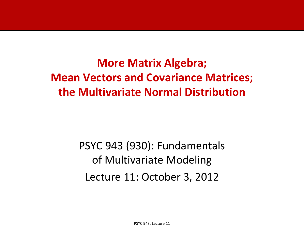**More Matrix Algebra; Mean Vectors and Covariance Matrices; the Multivariate Normal Distribution**

> PSYC 943 (930): Fundamentals of Multivariate Modeling Lecture 11: October 3, 2012

> > PSYC 943: Lecture 11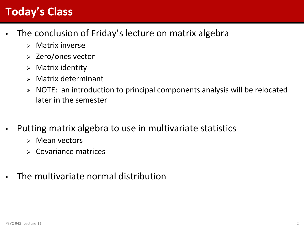## **Today's Class**

- The conclusion of Friday's lecture on matrix algebra
	- $\triangleright$  Matrix inverse
	- $\ge$  Zero/ones vector
	- $\triangleright$  Matrix identity
	- $\triangleright$  Matrix determinant
	- NOTE: an introduction to principal components analysis will be relocated later in the semester
- Putting matrix algebra to use in multivariate statistics
	- $\triangleright$  Mean vectors
	- Covariance matrices
- The multivariate normal distribution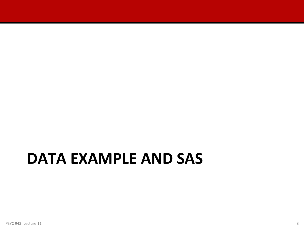# **DATA EXAMPLE AND SAS**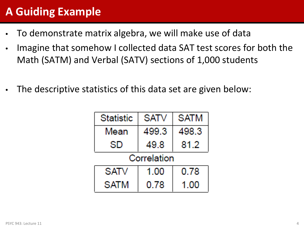## **A Guiding Example**

- To demonstrate matrix algebra, we will make use of data
- Imagine that somehow I collected data SAT test scores for both the Math (SATM) and Verbal (SATV) sections of 1,000 students
- The descriptive statistics of this data set are given below:

| <b>Statistic</b> | <b>SATV</b> | <b>SATM</b> |  |  |  |  |
|------------------|-------------|-------------|--|--|--|--|
| Mean             | 499.3       | 498.3       |  |  |  |  |
| SD               | 49.8        | 81.2        |  |  |  |  |
| Correlation      |             |             |  |  |  |  |
| SATV             | 1.00        | 0.78        |  |  |  |  |
| <b>SATM</b>      | 0.78        | 1 00        |  |  |  |  |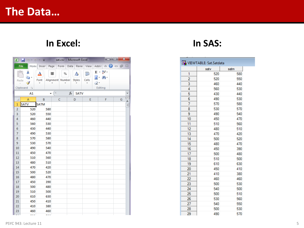#### **In Excel: In SAS:**

| $\boxed{\mathbb{X}} \parallel \boxed{\mathbb{H}} \parallel \mathbb{I} \parallel \mathbb{I} \parallel \mathbb{I} \parallel \mathbb{I} \parallel \mathbb{I} \parallel \mathbb{I} \qquad \qquad \text{sat.csv - Microsoft Excel}$ |                                    |                                      |                       |    |                    |                 |                                                                             |          |
|--------------------------------------------------------------------------------------------------------------------------------------------------------------------------------------------------------------------------------|------------------------------------|--------------------------------------|-----------------------|----|--------------------|-----------------|-----------------------------------------------------------------------------|----------|
|                                                                                                                                                                                                                                | File                               | Home Inser Page Form Data Revie View |                       |    |                    |                 | $Add-I$ $\circ$ $\bullet$ $\circ$ $\circ$ $B$ $\circ$ $3$                   |          |
|                                                                                                                                                                                                                                | Ж<br>er e<br>Paste<br>Clipboard Fa | <u>A</u><br>Font                     | 亖<br>Alignment Number | %  | A<br><b>Styles</b> | Ö<br>Cells<br>v | $\Sigma$ - $\frac{A}{Z}$ <sup>-</sup><br>画・箱・<br>$\mathscr{Q}$ -<br>Editing |          |
|                                                                                                                                                                                                                                | A1                                 | ÷                                    | (m.                   | fx | <b>SATV</b>        |                 |                                                                             | ٧        |
| ⊿                                                                                                                                                                                                                              | A                                  | B                                    | с                     |    | D                  | E               | F                                                                           | G        |
| 1                                                                                                                                                                                                                              | <b>SATV</b>                        | <b>SATM</b>                          |                       |    |                    |                 |                                                                             | $\equiv$ |
| $\overline{2}$                                                                                                                                                                                                                 | 520                                | 580                                  |                       |    |                    |                 |                                                                             |          |
| 3                                                                                                                                                                                                                              | 520                                | 550                                  |                       |    |                    |                 |                                                                             |          |
| 4                                                                                                                                                                                                                              | 460                                | 440                                  |                       |    |                    |                 |                                                                             |          |
| 5                                                                                                                                                                                                                              | 560                                | 530                                  |                       |    |                    |                 |                                                                             |          |
| 6                                                                                                                                                                                                                              | 430                                | 440                                  |                       |    |                    |                 |                                                                             |          |
| $\overline{7}$<br>8                                                                                                                                                                                                            | 490<br>570                         | 530<br>580                           |                       |    |                    |                 |                                                                             |          |
| 9                                                                                                                                                                                                                              | 530                                | 570                                  |                       |    |                    |                 |                                                                             |          |
| 10                                                                                                                                                                                                                             | 490                                | 540                                  |                       |    |                    |                 |                                                                             |          |
| 11                                                                                                                                                                                                                             | 450                                | 470                                  |                       |    |                    |                 |                                                                             |          |
| 12                                                                                                                                                                                                                             | 510                                | 560                                  |                       |    |                    |                 |                                                                             |          |
| 13                                                                                                                                                                                                                             | 480                                | 510                                  |                       |    |                    |                 |                                                                             |          |
| 14                                                                                                                                                                                                                             | 470                                | 420                                  |                       |    |                    |                 |                                                                             |          |
| 15                                                                                                                                                                                                                             | 500                                | 520                                  |                       |    |                    |                 |                                                                             |          |
| 16                                                                                                                                                                                                                             | 480                                | 470                                  |                       |    |                    |                 |                                                                             |          |
| 17                                                                                                                                                                                                                             | 450                                | 390                                  |                       |    |                    |                 |                                                                             |          |
| 18                                                                                                                                                                                                                             | 500                                | 480<br>500                           |                       |    |                    |                 |                                                                             |          |
| 19<br>20                                                                                                                                                                                                                       | 510<br>610                         | 630                                  |                       |    |                    |                 |                                                                             |          |
| 21                                                                                                                                                                                                                             | 450                                | 410                                  |                       |    |                    |                 |                                                                             |          |
| 22                                                                                                                                                                                                                             | 410                                | 380                                  |                       |    |                    |                 |                                                                             |          |
| 23                                                                                                                                                                                                                             | 460                                | 460                                  |                       |    |                    |                 |                                                                             |          |
| u u                                                                                                                                                                                                                            | ---                                | ---                                  |                       |    |                    |                 |                                                                             |          |

|                | satv | satm |
|----------------|------|------|
| 1              | 520  | 580  |
| $\overline{2}$ | 520  | 550  |
| 3              | 460  | 440  |
| 4              | 560  | 530  |
| 5              | 430  | 440  |
| 6              | 490  | 530  |
| 7              | 570  | 580  |
| 8              | 530  | 570  |
| 9              | 490  | 540  |
| 10             | 450  | 470  |
| 11             | 510  | 560  |
| 12             | 480  | 510  |
| 13             | 470  | 420  |
| 14             | 500  | 520  |
| 15             | 480  | 470  |
| 16             | 450  | 390  |
| 17             | 500  | 480  |
| 18             | 510  | 500  |
| 19             | 610  | 630  |
| 20             | 450  | 410  |
| 21             | 410  | 380  |
| 22             | 460  | 460  |
| 23             | 500  | 530  |
| 24             | 540  | 500  |
| 25             | 500  | 510  |
| 26             | 530  | 560  |
| 27             | 540  | 550  |
| 28             | 500  | 530  |
| 29             | 490  | 570  |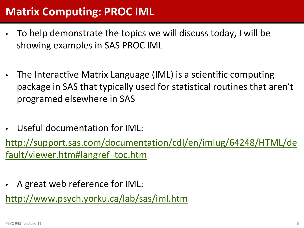#### **Matrix Computing: PROC IML**

- To help demonstrate the topics we will discuss today, I will be showing examples in SAS PROC IML
- The Interactive Matrix Language (IML) is a scientific computing package in SAS that typically used for statistical routines that aren't programed elsewhere in SAS
- Useful documentation for IML:

[http://support.sas.com/documentation/cdl/en/imlug/64248/HTML/de](http://support.sas.com/documentation/cdl/en/imlug/64248/HTML/default/viewer.htm) [fault/viewer.htm#langref\\_toc.htm](http://support.sas.com/documentation/cdl/en/imlug/64248/HTML/default/viewer.htm)

• A great web reference for IML:

<http://www.psych.yorku.ca/lab/sas/iml.htm>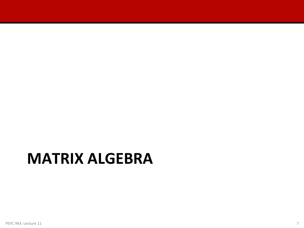# **MATRIX ALGEBRA**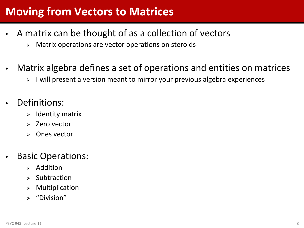#### **Moving from Vectors to Matrices**

- A matrix can be thought of as a collection of vectors
	- $\triangleright$  Matrix operations are vector operations on steroids
- Matrix algebra defines a set of operations and entities on matrices
	- > I will present a version meant to mirror your previous algebra experiences
- Definitions:
	- Identity matrix
	- Zero vector
	- Ones vector
- Basic Operations:
	- $\triangleright$  Addition
	- Subtraction
	- Multiplication
	- $\triangleright$  "Division"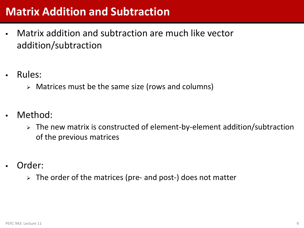#### **Matrix Addition and Subtraction**

- Matrix addition and subtraction are much like vector addition/subtraction
- Rules:
	- Matrices must be the same size (rows and columns)
- Method:
	- $\triangleright$  The new matrix is constructed of element-by-element addition/subtraction of the previous matrices
- Order:
	- $\triangleright$  The order of the matrices (pre- and post-) does not matter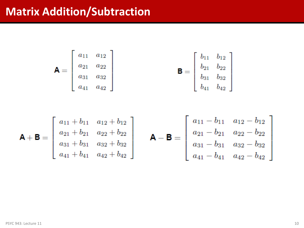#### **Matrix Addition/Subtraction**

$$
\mathbf{A} = \begin{bmatrix} a_{11} & a_{12} \\ a_{21} & a_{22} \\ a_{31} & a_{32} \\ a_{41} & a_{42} \end{bmatrix} \qquad \qquad \mathbf{B} = \begin{bmatrix} b_{11} & b_{12} \\ b_{21} & b_{22} \\ b_{31} & b_{32} \\ b_{41} & b_{42} \end{bmatrix}
$$

$$
\mathbf{A} + \mathbf{B} = \begin{bmatrix} a_{11} + b_{11} & a_{12} + b_{12} \\ a_{21} + b_{21} & a_{22} + b_{22} \\ a_{31} + b_{31} & a_{32} + b_{32} \\ a_{41} + b_{41} & a_{42} + b_{42} \end{bmatrix} \qquad \mathbf{A} - \mathbf{B} = \begin{bmatrix} a_{11} - b_{11} & a_{12} - b_{12} \\ a_{21} - b_{21} & a_{22} - b_{22} \\ a_{31} - b_{31} & a_{32} - b_{32} \\ a_{41} - b_{41} & a_{42} - b_{42} \end{bmatrix}
$$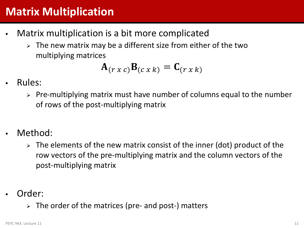### **Matrix Multiplication**

- Matrix multiplication is a bit more complicated
	- The new matrix may be a different size from either of the two multiplying matrices

$$
\mathbf{A}_{(r\,x\,c)}\mathbf{B}_{(c\,x\,k)}=\mathbf{C}_{(r\,x\,k)}
$$

- Rules:
	- $\triangleright$  Pre-multiplying matrix must have number of columns equal to the number of rows of the post-multiplying matrix
- Method:
	- $\triangleright$  The elements of the new matrix consist of the inner (dot) product of the row vectors of the pre-multiplying matrix and the column vectors of the post-multiplying matrix
- Order:
	- $\triangleright$  The order of the matrices (pre- and post-) matters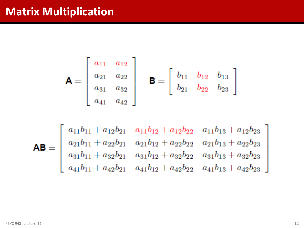#### **Matrix Multiplication**

$$
\mathbf{A} = \begin{bmatrix} a_{11} & a_{12} \\ a_{21} & a_{22} \\ a_{31} & a_{32} \\ a_{41} & a_{42} \end{bmatrix} \quad \mathbf{B} = \begin{bmatrix} b_{11} & b_{12} & b_{13} \\ b_{21} & b_{22} & b_{23} \end{bmatrix}
$$

$$
\mathsf{AB} = \begin{bmatrix} a_{11}b_{11} + a_{12}b_{21} & a_{11}b_{12} + a_{12}b_{22} & a_{11}b_{13} + a_{12}b_{23} \\ a_{21}b_{11} + a_{22}b_{21} & a_{21}b_{12} + a_{22}b_{22} & a_{21}b_{13} + a_{22}b_{23} \\ a_{31}b_{11} + a_{32}b_{21} & a_{31}b_{12} + a_{32}b_{22} & a_{31}b_{13} + a_{32}b_{23} \\ a_{41}b_{11} + a_{42}b_{21} & a_{41}b_{12} + a_{42}b_{22} & a_{41}b_{13} + a_{42}b_{23} \end{bmatrix}
$$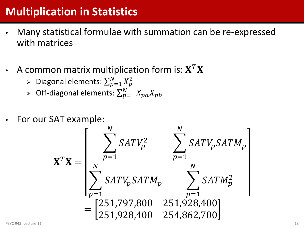## **Multiplication in Statistics**

- Many statistical formulae with summation can be re-expressed with matrices
- A common matrix multiplication form is:  $X^T X$ 
	- > Diagonal elements:  $\sum_{p=1}^{N} X_p^2$  $p=1$
	- ≻ Off-diagonal elements:  $\sum_{p=1}^{N} X_{pa} X_{pb}$  $p=1$
- For our SAT example:

$$
\mathbf{X}^T \mathbf{X} = \begin{bmatrix} \sum_{p=1}^N SATV_p^2 & \sum_{p=1}^N SATV_pSATM_p \\ \sum_{p=1}^N SATV_pSATM_p & \sum_{p=1}^N SATM_p^2 \\ = \begin{bmatrix} 251,797,800 & 251,928,400 \\ 251,928,400 & 254,862,700 \end{bmatrix} \end{bmatrix}
$$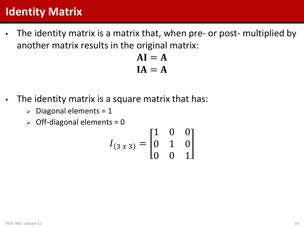#### **Identity Matrix**

• The identity matrix is a matrix that, when pre- or post- multiplied by another matrix results in the original matrix:

> $AI = A$  $IA = A$

- The identity matrix is a square matrix that has:
	- $\triangleright$  Diagonal elements = 1
	- $\geq$  Off-diagonal elements = 0

$$
I_{(3x3)} = \begin{bmatrix} 1 & 0 & 0 \\ 0 & 1 & 0 \\ 0 & 0 & 1 \end{bmatrix}
$$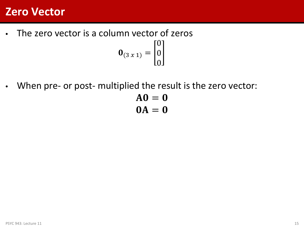#### **Zero Vector**

- The zero vector is a column vector of zeros  $\mathbf{0}_{(3x1)} =$  $\boldsymbol{0}$  $\boldsymbol{0}$  $\boldsymbol{0}$
- When pre- or post- multiplied the result is the zero vector:

$$
AO = 0
$$
  

$$
OA = 0
$$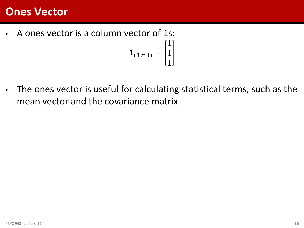#### **Ones Vector**

• A ones vector is a column vector of 1s:  ${\bf 1}_{(3x1)} =$ 1 1

• The ones vector is useful for calculating statistical terms, such as the mean vector and the covariance matrix

1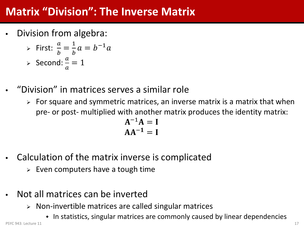### **Matrix "Division": The Inverse Matrix**

• Division from algebra:

► First: 
$$
\frac{a}{b} = \frac{1}{b}a = b^{-1}a
$$
  
\n> > Second:  $\frac{a}{a} = 1$ 

- "Division" in matrices serves a similar role
	- $\triangleright$  For square and symmetric matrices, an inverse matrix is a matrix that when pre- or post- multiplied with another matrix produces the identity matrix:

$$
A^{-1}A = I
$$

$$
AA^{-1} = I
$$

- Calculation of the matrix inverse is complicated
	- $\triangleright$  Even computers have a tough time
- Not all matrices can be inverted
	- $\triangleright$  Non-invertible matrices are called singular matrices
- In statistics, singular matrices are commonly caused by linear dependencies PSYC 943: Lecture 11 17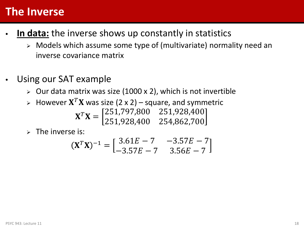#### **The Inverse**

- In data: the inverse shows up constantly in statistics
	- Models which assume some type of (multivariate) normality need an inverse covariance matrix
- Using our SAT example
	- $\triangleright$  Our data matrix was size (1000 x 2), which is not invertible
	- $\triangleright$  However  $X^T X$  was size (2 x 2) square, and symmetric  $X^T X = \begin{bmatrix} 251,797,800 & 251,928,400 \\ 251,928,400 & 254,862,700 \end{bmatrix}$ 251,928,400 254,862,700
	- $\triangleright$  The inverse is:

$$
(\mathbf{X}^T \mathbf{X})^{-1} = \begin{bmatrix} 3.61E - 7 & -3.57E - 7 \\ -3.57E - 7 & 3.56E - 7 \end{bmatrix}
$$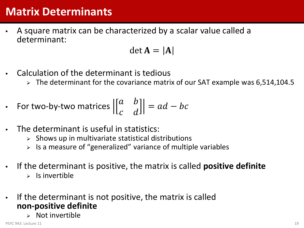#### **Matrix Determinants**

• A square matrix can be characterized by a scalar value called a determinant:

$$
\det \mathbf{A} = |\mathbf{A}|
$$

- Calculation of the determinant is tedious
	- $\geq$  The determinant for the covariance matrix of our SAT example was 6,514,104.5

• For two-by-two matrices 
$$
\begin{bmatrix} \begin{bmatrix} a & b \\ c & d \end{bmatrix} \end{bmatrix} = ad - bc
$$

- The determinant is useful in statistics:
	- $\triangleright$  Shows up in multivariate statistical distributions
	- $\triangleright$  Is a measure of "generalized" variance of multiple variables
- If the determinant is positive, the matrix is called **positive definite**
	- $\triangleright$  Is invertible
- If the determinant is not positive, the matrix is called **non-positive definite**
	- $\triangleright$  Not invertible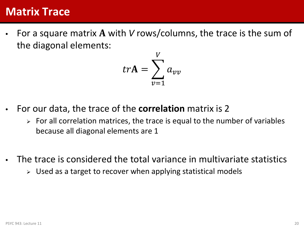#### **Matrix Trace**

For a square matrix A with *V* rows/columns, the trace is the sum of the diagonal elements:

$$
tr\mathbf{A} = \sum_{v=1}^{V} a_{vv}
$$

- For our data, the trace of the **correlation** matrix is 2
	- $\triangleright$  For all correlation matrices, the trace is equal to the number of variables because all diagonal elements are 1
- The trace is considered the total variance in multivariate statistics
	- $\triangleright$  Used as a target to recover when applying statistical models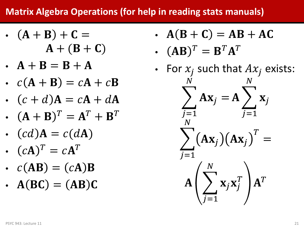#### **Matrix Algebra Operations (for help in reading stats manuals)**

- $(A + B) + C =$  $A + (B + C)$
- $A + B = B + A$
- $c(A + B) = cA + cB$
- $(c + d)$ **A** =  $c$ **A** +  $d$ **A**
- $(A + B)^{T} = A^{T} + B^{T}$
- $(cd)A = c(dA)$
- $(cA)^T = cA^T$
- $c(AB) = (cA)B$
- $A(BC) = (AB)C$
- $A(B+C) = AB + AC$
- $(AB)^T = B^T A^T$
- For  $x_i$  such that  $Ax_i$  exists:  $\sum_i A x_j =$ <u>N</u>  $J=1$  $A \sum_{j} X_j$ <u>N</u>  $J=1$  $\sum_i (AX_j)(AX_j)$  $T$ = <u>N</u>  $J=1$  $\mathbf{A} \Big| \sum \mathbf{x}_j \mathbf{x}_j^T$ <u>N</u>  $J=1$  ${\bf A}^T$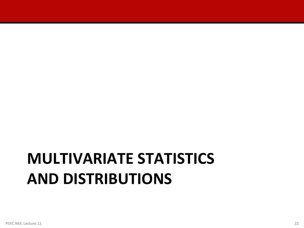# **MULTIVARIATE STATISTICS AND DISTRIBUTIONS**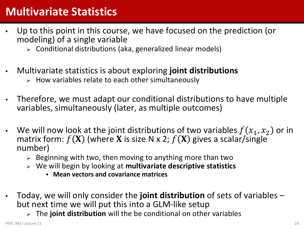#### **Multivariate Statistics**

- Up to this point in this course, we have focused on the prediction (or modeling) of a single variable
	- Conditional distributions (aka, generalized linear models)
- Multivariate statistics is about exploring **joint distributions**
	- $\triangleright$  How variables relate to each other simultaneously
- Therefore, we must adapt our conditional distributions to have multiple variables, simultaneously (later, as multiple outcomes)
- We will now look at the joint distributions of two variables  $f(x_1, x_2)$  or in matrix form:  $f(X)$  (where X is size N x 2;  $f(X)$  gives a scalar/single number)
	- $\triangleright$  Beginning with two, then moving to anything more than two
	- We will begin by looking at **multivariate descriptive statistics**
		- **Mean vectors and covariance matrices**
- Today, we will only consider the **joint distribution** of sets of variables but next time we will put this into a GLM-like setup
	- The **joint distribution** will the be conditional on other variables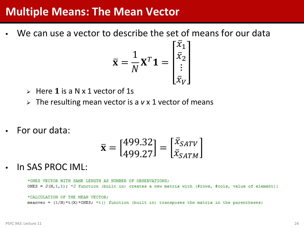#### **Multiple Means: The Mean Vector**

We can use a vector to describe the set of means for our data

$$
\overline{\mathbf{x}} = \frac{1}{N} \mathbf{X}^T \mathbf{1} = \begin{bmatrix} x_1 \\ \overline{x}_2 \\ \vdots \\ \overline{x}_V \end{bmatrix}
$$

- $\triangleright$  Here 1 is a N x 1 vector of 1s
- The resulting mean vector is a *v* x 1 vector of means
- For our data:

$$
\overline{\mathbf{x}} = \begin{bmatrix} 499.32 \\ 499.27 \end{bmatrix} = \begin{bmatrix} \overline{x}_{SATV} \\ \overline{x}_{SATM} \end{bmatrix}
$$

• In SAS PROC IML:

\*ONES VECTOR WITH SAME LENGTH AS NUMBER OF OBSERVATIONS: ONES =  $J(N,1,1)$ ; \*J function (built in) creates a new matrix with (#rows, #cols, value of element);

\*CALCULATION OF THE MEAN VECTOR; meanvec =  $(1/N) * t(X) * \text{ONES}$ ; \*t() function (built in) transposes the matrix in the parentheses;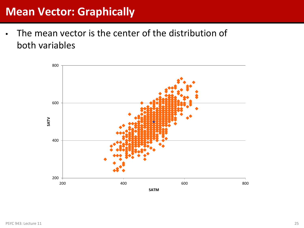#### **Mean Vector: Graphically**

• The mean vector is the center of the distribution of both variables

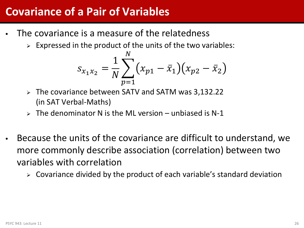#### **Covariance of a Pair of Variables**

- The covariance is a measure of the relatedness
	- $\triangleright$  Expressed in the product of the units of the two variables:

$$
s_{x_1x_2} = \frac{1}{N} \sum_{p=1}^{N} (x_{p1} - \bar{x}_1)(x_{p2} - \bar{x}_2)
$$

- The covariance between SATV and SATM was 3,132.22 (in SAT Verbal-Maths)
- $\triangleright$  The denominator N is the ML version unbiased is N-1
- Because the units of the covariance are difficult to understand, we more commonly describe association (correlation) between two variables with correlation
	- $\triangleright$  Covariance divided by the product of each variable's standard deviation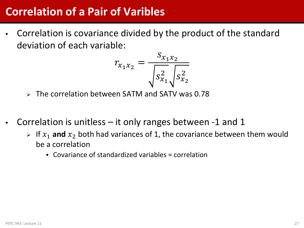#### **Correlation of a Pair of Varibles**

• Correlation is covariance divided by the product of the standard deviation of each variable:

$$
r_{x_1 x_2} = \frac{S_{x_1 x_2}}{\sqrt{S_{x_1}^2} \sqrt{S_{x_2}^2}}
$$

- The correlation between SATM and SATV was 0.78
- Correlation is unitless  $-$  it only ranges between  $-1$  and 1
	- $\triangleright$  If  $x_1$  and  $x_2$  both had variances of 1, the covariance between them would be a correlation
		- $\triangle$  Covariance of standardized variables = correlation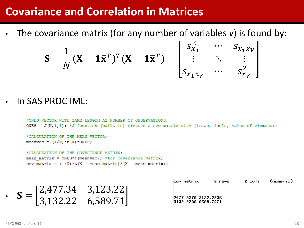#### **Covariance and Correlation in Matrices**

• The covariance matrix (for any number of variables *v*) is found by:

$$
\mathbf{S} = \frac{1}{N} (\mathbf{X} - \mathbf{1}\overline{\mathbf{x}}^T)^T (\mathbf{X} - \mathbf{1}\overline{\mathbf{x}}^T) = \begin{bmatrix} s_{x_1}^2 & \cdots & s_{x_1 x_V} \\ \vdots & \ddots & \vdots \\ s_{x_1 x_V} & \cdots & s_{x_V}^2 \end{bmatrix}
$$

Г

• In SAS PROC IML:

```
*ONES VECTOR WITH SAME LENGTH AS NUMBER OF OBSERVATIONS:
ONES = J(N,1,1); *J function (built in) creates a new matrix with (#rows, #cols, value of element);
*CALCULATION OF THE MEAN VECTOR;
meanvec = (1/N) * t(X) * <i>ONES</i>;
*CALCULATION OF THE COVARIANCE MATRIX:
```
mean matrix =  $ONES*t$  (meanvec); \*for covariance matrix; cov matrix =  $(1/N) * t(X - \text{mean matrix}) * (X - \text{mean matrix});$ 

|                                                                                              |                                                     | cov matrix                                 | 2 rows | 2 cols | (numeric) |  |
|----------------------------------------------------------------------------------------------|-----------------------------------------------------|--------------------------------------------|--------|--------|-----------|--|
| $\left[2,477.34 \quad 3,123.22\right]$<br>$S = \begin{bmatrix} 1 & 1 \\ 1 & 1 \end{bmatrix}$ | $\begin{bmatrix} 3,132.22 & 6,589.71 \end{bmatrix}$ | 2477.3376 3132.2236<br>3132.2236 6589.7071 |        |        |           |  |
|                                                                                              |                                                     |                                            |        |        |           |  |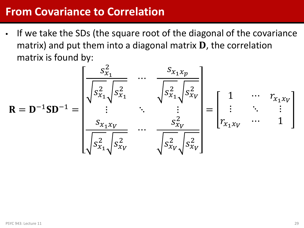#### **From Covariance to Correlation**

• If we take the SDs (the square root of the diagonal of the covariance matrix) and put them into a diagonal matrix  $D$ , the correlation matrix is found by:

$$
\mathbf{R} = \mathbf{D}^{-1} \mathbf{S} \mathbf{D}^{-1} = \begin{bmatrix} \frac{s_{x_1}^2}{\sqrt{s_{x_1}^2} s_{x_1}^2} & \cdots & \frac{s_{x_1 x_p}}{\sqrt{s_{x_1}^2} s_{x_p}^2} \\ \vdots & \ddots & \vdots \\ \frac{s_{x_1 x_v}}{\sqrt{s_{x_1}^2} s_{x_v}^2} & \cdots & \frac{s_{x_v}^2}{\sqrt{s_{x_v}^2} s_{x_v}^2} \end{bmatrix} = \begin{bmatrix} 1 & \cdots & r_{x_1 x_v} \\ \vdots & \ddots & \vdots \\ r_{x_1 x_v} & \cdots & 1 \end{bmatrix}
$$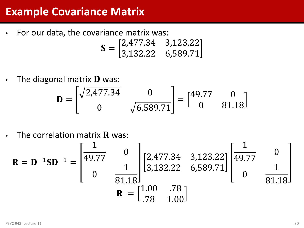#### **Example Covariance Matrix**

• For our data, the covariance matrix was:

$$
\mathbf{S} = \begin{bmatrix} 2,477.34 & 3,123.22 \\ 3,132.22 & 6,589.71 \end{bmatrix}
$$

• The diagonal matrix  **was:** 

$$
\mathbf{D} = \begin{bmatrix} \sqrt{2,477.34} & 0 \\ 0 & \sqrt{6,589.71} \end{bmatrix} = \begin{bmatrix} 49.77 & 0 \\ 0 & 81.18 \end{bmatrix}
$$

• The correlation matrix  **was:** 

$$
\mathbf{R} = \mathbf{D}^{-1} \mathbf{S} \mathbf{D}^{-1} = \begin{bmatrix} \frac{1}{49.77} & 0 \\ 0 & \frac{1}{81.18} \end{bmatrix} \begin{bmatrix} 2,477.34 & 3,123.22 \\ 3,132.22 & 6,589.71 \end{bmatrix} \begin{bmatrix} \frac{1}{49.77} & 0 \\ 0 & \frac{1}{81.18} \end{bmatrix}
$$

$$
\mathbf{R} = \begin{bmatrix} 1.00 & .78 \\ .78 & 1.00 \end{bmatrix}
$$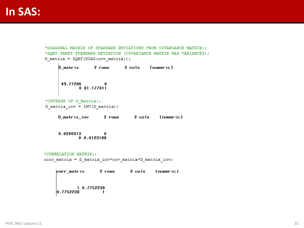```
*DIAGONAL MATRIX OF STANDARD DEVIATIONS FROM COVARIANCE MATRIX:;
*SQRT TAKES STANDARD DEVIATION (COVARIANCE MATRIX HAS VARIANCES);
D_matrix = SQRT(DIAG(cov_matrix));D_matrix 2 rows 2 cols (numeric)
      49.77286 0
             0 81.177011
*INVERSE OF D Matrix:;
D_matrix_inv = INV(D_matrix);D_matrix_inv 2 rows 2 cols (numeric)
     \begin{array}{cc} 0.0200913 & 0 \\ 0 & 0.0123188 \end{array}*CORRELATION MATRIX:;
corr_matrix = D_matrix_inv*cov_matrix*D_matrix_inv;corr_matrix 2 rows 2 cols
                                           (numeric)
            1 0.7752238
    |0.7752238\sim 1
```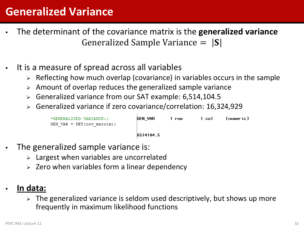#### **Generalized Variance**

- The determinant of the covariance matrix is the **generalized variance** Generalized Sample Variance  $= |S|$
- It is a measure of spread across all variables
	- $\triangleright$  Reflecting how much overlap (covariance) in variables occurs in the sample
	- $\triangleright$  Amount of overlap reduces the generalized sample variance
	- Generalized variance from our SAT example: 6,514,104.5
	- Generalized variance if zero covariance/correlation: 16,324,929

```
GEN VAR
*GENERALIZED VARIANCE:;
                                                  1 row
                                                               1 col
                                                                          (numeric)
GEN VAR = DET (cov matrix);
                                    6514104.5
```
- The generalized sample variance is:
	- $\geq$  Largest when variables are uncorrelated
	- $\geq$  Zero when variables form a linear dependency
- **In data:**
	- $\triangleright$  The generalized variance is seldom used descriptively, but shows up more frequently in maximum likelihood functions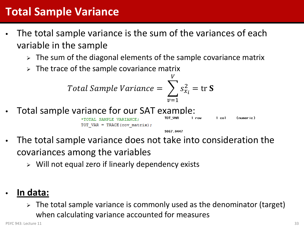#### **Total Sample Variance**

- The total sample variance is the sum of the variances of each variable in the sample
	- $\triangleright$  The sum of the diagonal elements of the sample covariance matrix
	- $\triangleright$  The trace of the sample covariance matrix

$$
Total Sample Variance = \sum_{v=1}^{V} s_{x_i}^2 = \text{tr } S
$$

Total sample variance for our SAT example:



9067.0447

- The total sample variance does not take into consideration the covariances among the variables
	- $\triangleright$  Will not equal zero if linearly dependency exists
- **In data:**
	- $\triangleright$  The total sample variance is commonly used as the denominator (target) when calculating variance accounted for measures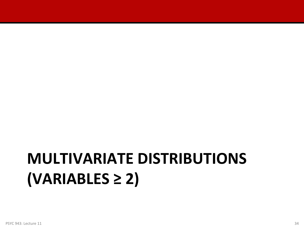# **MULTIVARIATE DISTRIBUTIONS (VARIABLES ≥ 2)**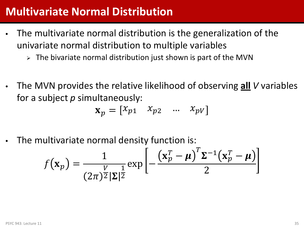#### **Multivariate Normal Distribution**

- The multivariate normal distribution is the generalization of the univariate normal distribution to multiple variables
	- $\triangleright$  The bivariate normal distribution just shown is part of the MVN
- The MVN provides the relative likelihood of observing **all** *V* variables for a subject *p* simultaneously:

$$
\mathbf{x}_p = \begin{bmatrix} x_{p1} & x_{p2} & \dots & x_{pV} \end{bmatrix}
$$

The multivariate normal density function is:

$$
f(\mathbf{x}_p) = \frac{1}{(2\pi)^{\frac{V}{2}} |\mathbf{\Sigma}|^{\frac{1}{2}}} \exp\left[-\frac{(\mathbf{x}_p^T - \boldsymbol{\mu})^T \mathbf{\Sigma}^{-1} (\mathbf{x}_p^T - \boldsymbol{\mu})}{2}\right]
$$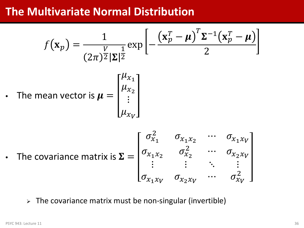#### **The Multivariate Normal Distribution**

$$
f(\mathbf{x}_p) = \frac{1}{(2\pi)^{\frac{V}{2}} |\mathbf{\Sigma}|^{\frac{1}{2}}} \exp\left[-\frac{(\mathbf{x}_p^T - \boldsymbol{\mu})^T \mathbf{\Sigma}^{-1} (\mathbf{x}_p^T - \boldsymbol{\mu})}{2}\right]
$$
  
• The mean vector is  $\boldsymbol{\mu} = \begin{bmatrix} \mu_{x_1} \\ \mu_{x_2} \\ \vdots \\ \mu_{x_V} \end{bmatrix}$ 

• The covariance matrix is 
$$
\Sigma = \begin{bmatrix} \sigma_{x_1}^2 & \sigma_{x_1x_2} & \cdots & \sigma_{x_1x_V} \\ \sigma_{x_1x_2} & \sigma_{x_2}^2 & \cdots & \sigma_{x_2x_V} \\ \vdots & \vdots & \ddots & \vdots \\ \sigma_{x_1x_V} & \sigma_{x_2x_V} & \cdots & \sigma_{x_V}^2 \end{bmatrix}
$$

 $\triangleright$  The covariance matrix must be non-singular (invertible)

 $\mathbf{r}$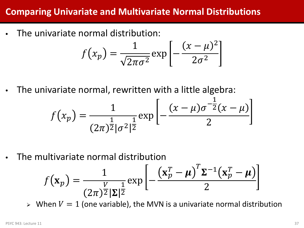#### **Comparing Univariate and Multivariate Normal Distributions**

• The univariate normal distribution:

$$
f(x_p) = \frac{1}{\sqrt{2\pi\sigma^2}} \exp\left[-\frac{(x-\mu)^2}{2\sigma^2}\right]
$$

• The univariate normal, rewritten with a little algebra:

$$
f(x_p) = \frac{1}{(2\pi)^{\frac{1}{2}}|\sigma^2|^{\frac{1}{2}}} \exp\left[-\frac{(x-\mu)\sigma^{-\frac{1}{2}}(x-\mu)}{2}\right]
$$

• The multivariate normal distribution

$$
f(\mathbf{x}_p) = \frac{1}{(2\pi)^{\frac{V}{2}} |\Sigma|^{\frac{1}{2}}} \exp\left[-\frac{(\mathbf{x}_p^T - \boldsymbol{\mu})^T \Sigma^{-1} (\mathbf{x}_p^T - \boldsymbol{\mu})}{2}\right]
$$

 $\triangleright$  When  $V = 1$  (one variable), the MVN is a univariate normal distribution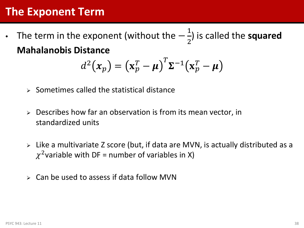#### **The Exponent Term**

• The term in the exponent (without the  $-\frac{1}{2}$ 2 ) is called the **squared Mahalanobis Distance**

$$
d^{2}(x_{p}) = (\mathbf{x}_{p}^{T} - \boldsymbol{\mu})^{T} \mathbf{\Sigma}^{-1} (\mathbf{x}_{p}^{T} - \boldsymbol{\mu})
$$

- $\triangleright$  Sometimes called the statistical distance
- $\triangleright$  Describes how far an observation is from its mean vector, in standardized units
- Like a multivariate Z score (but, if data are MVN, is actually distributed as a  $\chi^2$ variable with DF = number of variables in X)
- $\triangleright$  Can be used to assess if data follow MVN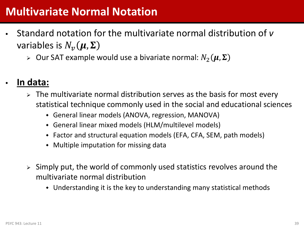#### **Multivariate Normal Notation**

- Standard notation for the multivariate normal distribution of *v* variables is  $N_{\nu}(\mu, \Sigma)$ 
	- $\triangleright$  Our SAT example would use a bivariate normal:  $N_2(\mu, \Sigma)$

#### • **In data:**

- $\triangleright$  The multivariate normal distribution serves as the basis for most every statistical technique commonly used in the social and educational sciences
	- General linear models (ANOVA, regression, MANOVA)
	- General linear mixed models (HLM/multilevel models)
	- Factor and structural equation models (EFA, CFA, SEM, path models)
	- Multiple imputation for missing data
- $\geq$  Simply put, the world of commonly used statistics revolves around the multivariate normal distribution
	- Understanding it is the key to understanding many statistical methods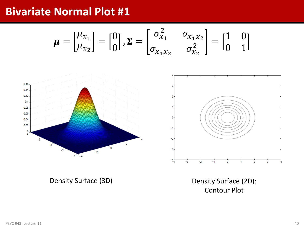#### **Bivariate Normal Plot #1**

$$
\boldsymbol{\mu} = \begin{bmatrix} \mu_{x_1} \\ \mu_{x_2} \end{bmatrix} = \begin{bmatrix} 0 \\ 0 \end{bmatrix}, \boldsymbol{\Sigma} = \begin{bmatrix} \sigma_{x_1}^2 & \sigma_{x_1 x_2} \\ \sigma_{x_1 x_2} & \sigma_{x_2}^2 \end{bmatrix} = \begin{bmatrix} 1 & 0 \\ 0 & 1 \end{bmatrix}
$$



Density Surface (3D) Density Surface (2D): Contour Plot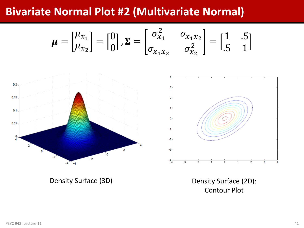#### **Bivariate Normal Plot #2 (Multivariate Normal)**

$$
\boldsymbol{\mu} = \begin{bmatrix} \mu_{x_1} \\ \mu_{x_2} \end{bmatrix} = \begin{bmatrix} 0 \\ 0 \end{bmatrix}, \boldsymbol{\Sigma} = \begin{bmatrix} \sigma_{x_1}^2 & \sigma_{x_1 x_2} \\ \sigma_{x_1 x_2} & \sigma_{x_2}^2 \end{bmatrix} = \begin{bmatrix} 1 & .5 \\ .5 & 1 \end{bmatrix}
$$



Density Surface (3D) Density Surface (2D): Contour Plot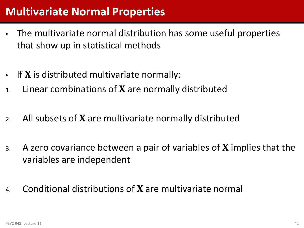#### **Multivariate Normal Properties**

- The multivariate normal distribution has some useful properties that show up in statistical methods
- $\bullet$  If **X** is distributed multivariate normally:
- 1. Linear combinations of  $X$  are normally distributed
- 2. All subsets of  $X$  are multivariate normally distributed
- 3. A zero covariance between a pair of variables of  $X$  implies that the variables are independent
- 4. Conditional distributions of  $X$  are multivariate normal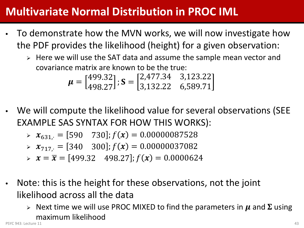### **Multivariate Normal Distribution in PROC IML**

- To demonstrate how the MVN works, we will now investigate how the PDF provides the likelihood (height) for a given observation:
	- $\triangleright$  Here we will use the SAT data and assume the sample mean vector and covariance matrix are known to be the true:

$$
\boldsymbol{\mu} = \begin{bmatrix} 499.32 \\ 498.27 \end{bmatrix}; \mathbf{S} = \begin{bmatrix} 2,477.34 & 3,123.22 \\ 3,132.22 & 6,589.71 \end{bmatrix}
$$

• We will compute the likelihood value for several observations (SEE EXAMPLE SAS SYNTAX FOR HOW THIS WORKS):

$$
\triangleright \; \; x_{631} = [590 \quad 730]; f(x) = 0.00000087528
$$

$$
\triangleright \; \; \mathbf{x}_{717} = [340 \quad 300]; f(\mathbf{x}) = 0.00000037082
$$

- $\Rightarrow$   $x = \overline{x} = [499.32 \quad 498.27]$ ;  $f(x) = 0.0000624$
- Note: this is the height for these observations, not the joint likelihood across all the data
	- $\triangleright$  Next time we will use PROC MIXED to find the parameters in  $\mu$  and  $\Sigma$  using maximum likelihood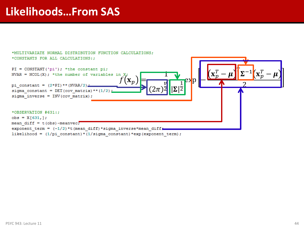#### **Likelihoods…From SAS**